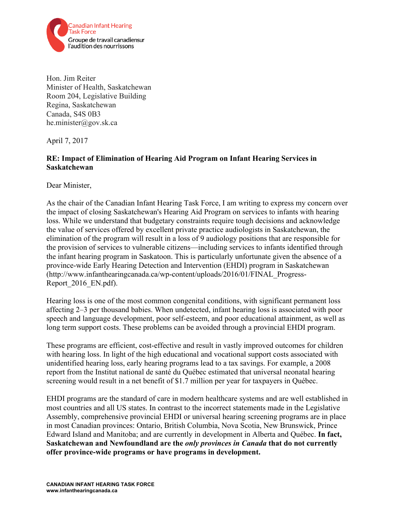

Hon. Jim Reiter Minister of Health, Saskatchewan Room 204, Legislative Building Regina, Saskatchewan Canada, S4S 0B3 he.minister@gov.sk.ca

April 7, 2017

## **RE: Impact of Elimination of Hearing Aid Program on Infant Hearing Services in Saskatchewan**

Dear Minister,

As the chair of the Canadian Infant Hearing Task Force, I am writing to express my concern over the impact of closing Saskatchewan's Hearing Aid Program on services to infants with hearing loss. While we understand that budgetary constraints require tough decisions and acknowledge the value of services offered by excellent private practice audiologists in Saskatchewan, the elimination of the program will result in a loss of 9 audiology positions that are responsible for the provision of services to vulnerable citizens—including services to infants identified through the infant hearing program in Saskatoon. This is particularly unfortunate given the absence of a province-wide Early Hearing Detection and Intervention (EHDI) program in Saskatchewan (http://www.infanthearingcanada.ca/wp-content/uploads/2016/01/FINAL\_Progress-Report 2016 EN.pdf).

Hearing loss is one of the most common congenital conditions, with significant permanent loss affecting 2–3 per thousand babies. When undetected, infant hearing loss is associated with poor speech and language development, poor self-esteem, and poor educational attainment, as well as long term support costs. These problems can be avoided through a provincial EHDI program.

These programs are efficient, cost-effective and result in vastly improved outcomes for children with hearing loss. In light of the high educational and vocational support costs associated with unidentified hearing loss, early hearing programs lead to a tax savings. For example, a 2008 report from the Institut national de santé du Québec estimated that universal neonatal hearing screening would result in a net benefit of \$1.7 million per year for taxpayers in Québec.

EHDI programs are the standard of care in modern healthcare systems and are well established in most countries and all US states. In contrast to the incorrect statements made in the Legislative Assembly, comprehensive provincial EHDI or universal hearing screening programs are in place in most Canadian provinces: Ontario, British Columbia, Nova Scotia, New Brunswick, Prince Edward Island and Manitoba; and are currently in development in Alberta and Québec. **In fact, Saskatchewan and Newfoundland are the** *only provinces in Canada* **that do not currently offer province-wide programs or have programs in development.**